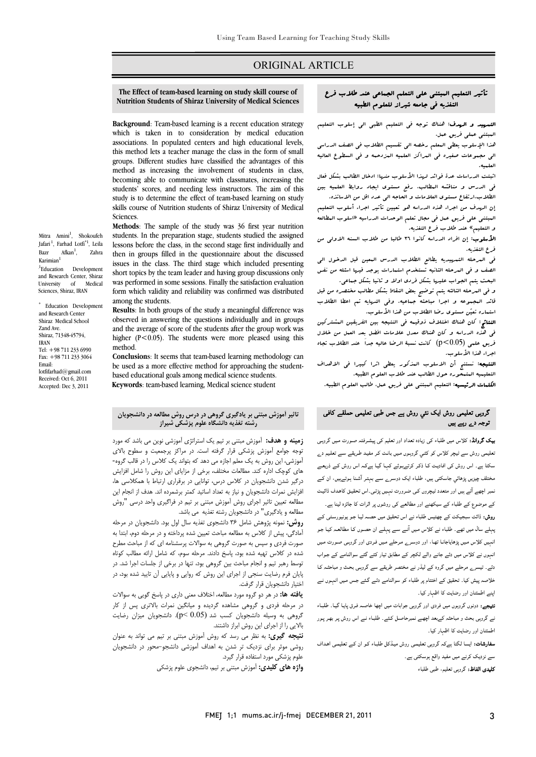### ORIGINAL ARTICLE

#### **The Effect of team-based learning on study skill course of Nutrition Students of Shiraz University of Medical Sciences**

Ī  $\overline{a}$ 

 **Background**: Team-based learning is a recent education strategy which is taken in to consideration by medical education this method lets a teacher manage the class in the form of small groups. Different studies have classified the advantages of this method as increasing the involvement of students in class,<br>becoming able to communicate with classmates, increasing the students' scores, and needing less instructors. The aim of this study is to determine the effect of team-based learning on study skills course of Nutrition students of Shiraz University of Medical associations. In populated centers and high educational levels, method as increasing the involvement of students in class, **Sciences**.

 **Methods**: The sample of the study was 36 first year nutrition students. In the preparation stage, students studied the assigned<br>lessons before the class, in the second stage first individually and then in groups filled in the questionnaire about the discussed issues in the class. The third stage which included presenting was performed in some sessions. Finally the satisfaction evaluation was performed in some sessions. Finally the satisfaction evaluation form which validity and reliability was confirmed was distributed students. In the preparation stage, students studied the assigned short topics by the team leader and having group discussions only among the students.

 **Results**: In both groups of the study a meaningful difference was observed in answering the questions individually and in groups and the average of score of the students after the group work was higher ( $P < 0.05$ ). The students were more pleased using this method. method.

 **Conclusion**s: It seems that team-based learning methodology can be used as a more enective method for approaching the<br>based educational goals among medical science students. **Keywords**: team-based learning, Medical science student be used as a more effective method for approaching the student-

#### Bazr Afkan<sup>1</sup>. , Zahra Karimian 1 1 Development and Research Center, Shiraz University of Medical

Mitra Amini<sup>1</sup>, Shokoufeh Jafari<sup>1</sup>, Farhad Lotfi<sup>\*1</sup>, Leila

Sciences, Shiraz, IRAN \* Education Development and Research Center Shiraz Medical School Zand Ave. Shiraz, 71348-45794, IRAN

Tel: +98 711 233 6990 Fax: +98 711 233 3064 Email:

lotfifarhad@gmail.com Received: Oct 6, 2011 Accepted: Dec 3, 2011

# **تاثير آموزش مبتني بر يادگيري گروهي در درس روش مطالعه در دانشجويان رشته تغذيه دانشگاه علوم پزشكي شيراز**

 **زمينه و هدف:** آموزش مبتني بر تيم يك استراتژي آموزشي نوين مي باشد كه مورد توجه جوامع آموزش پزشكي قرار گرفته است. در مراكز پرجمعيت و سطوح بالاي آموزشي، اين روش به يك معلم اجازه مي دهد كه بتواند يك كلاس را در قالب گروه- هاي كوچك اداره كند. مطالعات مختلف، برخي از مزاياي اين روش را شامل افزايش<br>مستحدث است را بن استخدام المراجع ر بير مستقبل دانشجويان و نياز به تعداد اساتيد كمتر برشمرده اند. هدف از انجام اين<br>افزايش نمرات دانشجويان و نياز به تعداد اساتيد كمتر برشمرده اند. هدف از انجام اين مطالعه تعيين تاثير اجراي روش آموزش مبتني بر تيم در فراگيري واحد درسي "روش مطالعه و يادگيري" در دانشجويان رشته تغذيه مي باشد. درگير شدن دانشجويان در كلاس درس، توانايي در برقراري ارتباط با همكلاسي ها،

**روش:** نمونه پژوهش شامل ۳۶ دانشجوي تغذيه سال اول بود. دانشجويان در مرحله<br>دانشگاه مشهد اسکان در سال الله مصاحبه موجب دانشجویی در استفاده دانشه صورت فردي و سپس به صورت گروهي به سوالات پرسشنامه اي كه از مباحث مطرح شده در كلاس تهيه شده بود، پاسخ دادند. مرحله سوم، كه شامل ارائه مطالب كوتاه توسط رهبر تيم و انجام مباحث بين گروهي بود، تنها در برخي از جلسات اجرا شد. در اختيار دانشجويان قرار گرفت. آمادگي، پيش از كلاس به مطالعه مباحث تعيين شده پرداخته و در مرحله دوم، ابتدا به پايان فرم رضايت سنجي از اجراي اين روش كه روايي و پايايي آن تاييد شده بود، در

 **يافته ها:** در هر دو گروه مورد مطالعه، اختلاف معني داري در پاسخ گويي به سوالات در مرحله فردي و گروهي مشاهده گرديده و ميانگين نمرات بالاتري پس از كار گروهي به وسيله دانشجويان كسب شد (0.05 >p(. دانشجويان ميزان رضايت بالايي را از اجراي اين روش ابراز داشتند.

 **نتيجه گيري:** به نظر مي رسد كه روش آموزش مبتني بر تيم مي تواند به عنوان روشي موثر براي نزديك تر شدن به اهداف آموزشي دانشجو- محور در دانشجويان علوم پزشكي مورد استفاده قرار گيرد.

**واژه هاي كليدي:** آموزش مبتني بر تيم، دانشجوي علوم پزشكي

# تأثير التعليم المبتني علي التعلم الجماعي عند طلاب فرع التغذيه في جامعه شيراز للعلوم الطبيه

Ī  $\overline{a}$ 

 التمهيد و الهدف: هناك توجه في التعليم الطبي الي إسلوب التعليم المبتني عملي فريق عمل.

 هذا الإسلوب يعطي المعلم رخصه الي تقسيم الطلاب في الصف الدراسي الي مجهوعات صغيره في البراكز العلبيه البزدحيه و في السطوع العاليه<br>العلمية العلميه.

 اثبتت الدراسات عدة فوائد لهذا الأسلوب منها: ادخال الطالب بشكل فعال في الدرس و مناقشه المطالب، رفع مستوي ايجاد روابط العلميه بين الطلاب.ارتفاع مستوى العلامات و الحاجه ال<sub>ى</sub> عدد اقل من الاساتذه.<br>.

ن المبتدء على المبتدأ عليه المستخدمات على عليهما عليه عليه المسلوب المسلوب المسلوب<br>العبتني على فريق عمل في مجال تعلم الوحدات الدراسيه «اسلوب العطالعه و التعليم» عند طلاب فرع التغذيه. إن الهدف من اجراء هذه الدراسه هو تعيين تأثير اجراء أسلوب التعليم

 الأسلوب: إن افراد الدراسه كانوا 36 طالبا من طلاب السنه الاولي من فرع التغذيه.

فرع التغذيه.<br>في البرحله التمبيبديه يطالع الطلاب الدرس البعين قبل الدخول الي الصف و في المرحله الثانيه تستخدم استمارات يوجد فيها اسئله من نفس البحث يتم الجواب عليها بشكل فردي اولا و ثانيا بشكل جماعي.

 و في المرحله الثالثه يتم توضيح بعض النقاط بشكل مطالب مختصره من قبل قائد البجبوعه و اجرا مباحثه جماعيه. وفي النهايه تم اعطا الطلاب<br>. استماره تعين مستوي رضا الطلاب من هذا الأسلوب.

 النتائج: كان هناك اختلاف ذوقيمه في النتيجه بين الفريقين المشتركين في هذه الدراسه و كان هناك معدل علامات افضل بعد العمل من خلال فريق علمي (0.05>p (كانت نسبة الرضا عاليه جداَ عند الطلاب تجاه اجراء هذا الأسلوب.

اجراء هذا الاسلوب.<br>**النتيجه:** نستنج أن الاسلوب المذكور يعطى اثرا كبيرا فى الاهداف التعليميه المتمحوره حول الطالب عند طلاب العلوم الطبيه.

الكلمات الرئيسيه: التعليم المبتني علي فريق عمل، طالب العلوم الطبيه.

# گروہی تعلیمی روش ایک نئي روش ہے جس طبی تعلیمی حملقے کافی توجہ دے رہے ہیں

 بیک گروانڈ: کلاس میں طلباء کی زیادہ تعداد اور تعلیم کی پیشـرفتہ صـورت مـیں گروہـی تعلیمی روش سے ٹیچر کلاس کو کئـي گروہـوں مـیں بانـٹ کـر مفیـد طـریقے سـے تعلـیم دے ۔<br>سکتا ہے۔ اس روش کی افادیت کـا ذکـر کرتےہـوئے کہـا گيـا ہےکـہ اس روش کـے ذریعـے مختلف چیزیں پڑھائي جاسکتی ہیں، طلباء ایک دوسـرے سـے بہتـر آشـنا ہـوتےہیں، ان کـے نمبر اچھے آتے ہیں اور متعدد ٹیچروں کـی ضـرورت نہـیں پڑتـی۔اس تحقیـق کاھـدف ڈائیـٹ کے موضوع کے طلباء کے سیکھنے اور مطالعے کی روشوں پر اثرات کا جائزہ لینا ہے۔ روش: ڈائٹ سبجیکٹ کے چھتیس طلباء نے اس تحقیق میں حصـہ لیـا جـو یونیورسـٹی کـے پہلے سال میں تھے۔ طلباء نے کلاس مـیں آنـے سـے پہلـے ان حصـوں کـا مطالعـہ کیـا جـو انہیں کلاس مـیں پڑھایاجانـا تھـا، اور دوسـرے مـرحلے مـیں فـردی اور گروہـی صـورت مـیں انہوں نے کلاس میں دئے جانے والے لکچر کے مطابق تیار کئے گئے سوالنامے کے جـواب دئے۔ تیسرے مرحلے میں گروہ کے لیڈر نے مختصر طریقے سے گروہـی بحـث و مباحثـہ کـا خلاصہ پیش کیا۔ تحقیق کے اختتام پر طلباء کو سوالنامے دئـے گـئے جـس مـیں انہـوں نـے اپنے اطمئنان اور رضایت کا اظہار کیا۔

 نتیجے: دونوں گروہوں میں فردی اور گروہی جوابات میں اچھا خاصـہ فـرق پایـا گيـا۔ طلبـاء نے گروہی بحث و مباحثہ کےبعد اچھـے نمبرحاصـل کـئے۔ طلبـاء نـے اس روش پـر بھـر پـور اطمئنان اور رضایت کا اظہار کیا۔

**سفارشات:** ایسا لگتا ہےکہ گروہی تعلیمی روش میڈکل طلبـاء کـو ان کـے تعلیمـی اھـداف<br>-سے نزدیک کرنے میں مفید واقع ہوسکتی ہے۔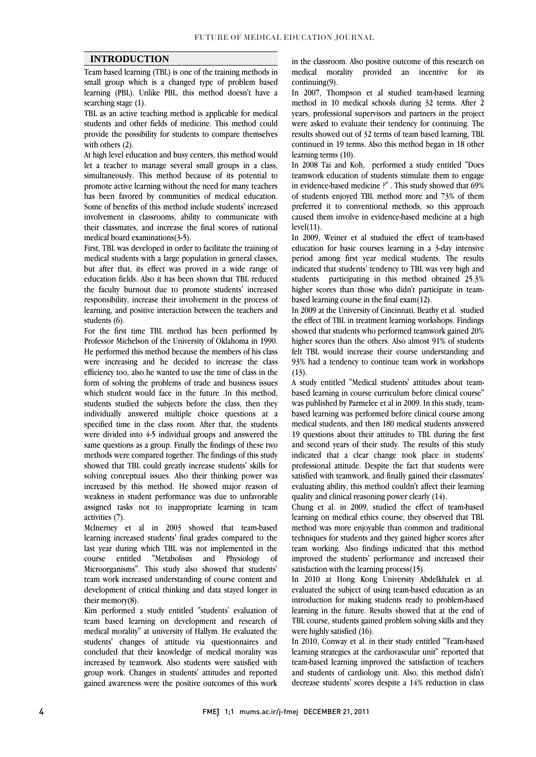### **INTRODUCTION**

 Team based learning (TBL) is one of the training methods in small group which is a changed type of problem based learning (PBL). Unlike PBL, this method doesn't have a searching stage (1).

 TBL as an active teaching method is applicable for medical students and other fields of medicine. This method could provide the possibility for students to compare themselves with others (2).

with others (2).<br>At high level education and busy centers, this method would let a teacher to manage several small groups in a class, simultaneously. This method because of its potential to promote active learning without the need for many teachers has been lavored by communities of medical education.<br>Some of benefits of this method include students' increased involvement in classrooms, ability to communicate with their classmates, and increase the final scores of national has been favored by communities of medical education. medical board examinations(3-5).

 medical students with a large population in general classes, but after that, its effect was proved in a wide range of education fields. Also it has been shown that TBL reduced the faculty burnout due to promote students' increased learning, and positive interaction between the teachers and First, TBL was developed in order to facilitate the training of responsibility, increase their involvement in the process of students (6).

 For the first time TBL method has been performed by Professor Michelson of the University of Oklahoma in 1990. were increasing and he decided to increase the class efficiency too, also he wanted to use the time of class in the form of solving the problems of trade and business issues which student would face in the future .In this method, individually answered multiple choice questions at a specified time in the class room. After that, the students were divided into 4-5 individual groups and answered the same questions as a group. Finally the findings of these two<br>mathedo was assumed to satisfy The findings of this study showed that TBL could greatly increase students' skills for solving conceptual issues. Also their thinking power was increased by this method. He showed major reason of וי<br>. assigned tasks not to inappropriate learning in team<br>activities (7). He performed this method because the members of his class students studied the subjects before the class, then they methods were compared together. The findings of this study weakness in student performance was due to unfavorable activities (7).

 Mclnerney et al in 2003 showed that team-based learning increased students' final grades compared to the of Microorganisms". This study also showed that students' team work increased understanding of course content and development of critical thinking and data stayed longer in last year during which TBL was not implemented in the course entitled "Metabolism and Physiology their memory(8).

 Kim performed a study entitled "students' evaluation of team based learning on development and research of medical morality" at university of Hallym. He evaluated the students' changes of attitude via questionnaires and increased by teamwork. Also students were satisfied with group work. Changes in students' attitudes and reported gained awareness were the positive outcomes of this work concluded that their knowledge of medical morality was

 medical morality provided an incentive for its in the classroom. Also positive outcome of this research on continuing(9).

 In 2007, Thompson et al studied team-based learning years, professional supervisors and partners in the project were asked to evaluate their tendency for continuing. The results showed out of 32 terms of team based learning, TBL continued in 19 terms. Also this method began in 18 other<br>learning target (10) method in 10 medical schools during 32 terms. After 2 learning terms (10).

 In 2008 Tai and Koh, performed a study entitled "Does teamwork education of students stimulate them to engage in evidence-based medicine ?" . This study showed that 69% preferred it to conventional methods, so this approach caused them involve in evidence-based medicine at a high of students enjoyed TBL method more and 73% of them  $level(11)$ .

 In 2009, Weiner et al studuied the effect of team-based period among first year medical students. The results indicated that students' tendency to TBL was very high and students participating in this method obtained 25.3% higher scores than those who didn't participate in teameducation for basic courses learning in a 3-day intensive based learning course in the final exam(12).

 In 2009 at the University of Cincinnati, Beathy et al. studied the effect of TBL in treatment learning workshops. Findings showed that students who performed teamwork gained 20% nigner scores than the others. Also almost 91% of students<br>felt TBL would increase their course understanding and 93% had a tendency to continue team work in workshops higher scores than the others. Also almost 91% of students  $(13)$ .

 A study entitled "Medical students' attitudes about team- was published by Parmelee et al in 2009. In this study, team- based learning was performed before clinical course among medical students, and then 180 medical students answered 19 questions about their attitudes to TBL during the first indicated that a clear change took place in students' professional attitude. Despite the fact that students were satisfied with teamwork, and finally gained their classmates evaluating ability, this method couldn't affect their learning based learning in course curriculum before clinical course" and second years of their study. The results of this study quality and clinical reasoning power clearly (14).

 Chung et al. in 2009, studied the effect of team-based learning on medical ethics course, they observed that TBL method was more enjoyable than common and traditional techniques for students and they gained higher scores after improved the students' performance and increased their team working. Also findings indicated that this method satisfaction with the learning process(15).

 In 2010 at Hong Kong University Abdelkhalek et al. evaluated the subject of using team-based education as an learning in the future. Results showed that at the end of TBL course, students gained problem solving skills and they introduction for making students ready to problem-based were highly satisfied (16).

 In 2010, Conway et al. in their study entitled "Team-based team-based learning improved the satisfaction of teachers and students of cardiology unit. Also, this method didn't decrease students' scores despite a 14% reduction in class learning strategies at the cardiovascular unit" reported that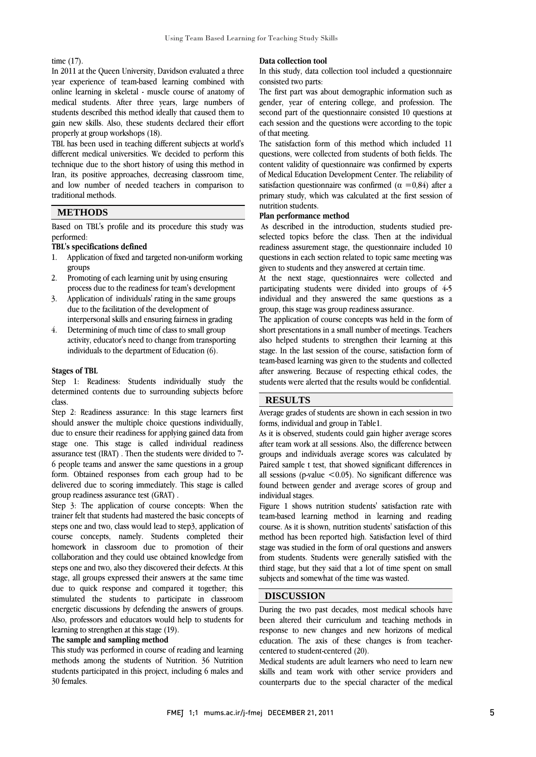#### time (17).

 In 2011 at the Queen University, Davidson evaluated a three year experience of team-based learning combined with online learning in skeletal - muscle course of anatomy of students described this method ideally that caused them to gain new skills. Also, these students declared their effort l medical students. After three years, large numbers of properly at group workshops (18).

 different medical universities. We decided to perform this technique due to the short history of using this method in Iran, its positive approaches, decreasing classroom time, and low number of needed teachers in comparison to  $\overline{a}$ TBL has been used in teaching different subjects at world's traditional methods.

# **METHODS**

 Based on TBL's profile and its procedure this study was performed:

#### **TBL's specifications defined**

- 1. Application of fixed and targeted non-uniform working Ĭ groups
- 2. Promoting of each learning unit by using ensuring process due to the readiness for team's development
- 3. Application of individuals' rating in the same groups due to the facilitation of the development of interpersonal skills and ensuring fairness in grading
- 4. Determining of much time of class to small group activity, educator's need to change from transporting individuals to the department of Education (6).

#### **Stages of TBL**

 Step 1: Readiness: Students individually study the determined contents due to surrounding subjects before class.

 Step 2: Readiness assurance: In this stage learners first should answer the multiple choice questions individually, due to ensure their readiness for applying gained data from assurance test (IRAT) . Then the students were divided to 7- 6 people teams and answer the same questions in a group form. Obtained responses from each group had to be delivered due to scoring immediately. This stage is called stage one. This stage is called individual readiness group readiness assurance test (GRAT) .

Step 3: The application of course concepts: When the trainer felt that students had mastered the basic concepts of steps one and two, class would lead to step3, application of course concepts, namely. Students completed their collaboration and they could use obtained knowledge from steps one and two, also they discovered their defects. At this stage, all groups expressed their answers at the same time stimulated the students to participate in classroom energetic discussions by defending the answers of groups. Also, professors and educators would help to students for homework in classroom due to promotion of their due to quick response and compared it together; this learning to strengthen at this stage (19).

#### **The sample and sampling method**

 This study was performed in course of reading and learning methods among the students of Nutrition. 36 Nutrition students participated in this project, including 6 males and 30 females.

#### **Data collection tool**

 In this study, data collection tool included a questionnaire consisted two parts:

The first part was about demographic information such as second part of the questionnaire consisted 10 questions at gender, year of entering college, and profession. The each session and the questions were according to the topic of that meeting.

of that meeting.<br>The satisfaction form of this method which included 11 questions, were collected from students of both fields. The content validity of questionnaire was confirmed by experts of Medical Education Development Center. The reliability of satisfaction questionnaire was confirmed  $(\alpha = 0.84)$  after a primary study, which was calculated at the first session of nutrition students.

#### **Plan performance method**

 As described in the introduction, students studied pre- selected topics before the class. Then at the individual questions in each section related to topic same meeting was readiness assurement stage, the questionnaire included 10 given to students and they answered at certain time.

 At the next stage, questionnaires were collected and Ī individual and they answered the same questions as a participating students were divided into groups of 4-5 group, this stage was group readiness assurance.

 The application of course concepts was held in the form of short presentations in a small number of meetings. Teachers also neiped students to strengthen their rearning at this stage. In the last session of the course, satisfaction form of team-based learning was given to the students and collected after answering. Because of respecting ethical codes, the students were alerted that the results would be confidential. also helped students to strengthen their learning at this

# **RESULTS**

 Average grades of students are shown in each session in two forms, individual and group in Table1.

Ι

 As it is observed, students could gain higher average scores groups and individuals average scores was calculated by Paired sample t test, that showed significant differences in all sessions (p-value  $<$  0.05). No significant difference was found between gender and average scores of group and after team work at all sessions. Also, the difference between individual stages.

 Figure 1 shows nutrition students' satisfaction rate with team-based learning method in learning and reading course. As it is shown, nutrition students' satisfaction of this method has been reported high. Sausiaction level of third<br>stage was studied in the form of oral questions and answers from students. Students were generally satisfied with the third stage, but they said that a lot of time spent on small method has been reported high. Satisfaction level of third subjects and somewhat of the time was wasted.

### **DISCUSSION**

 During the two past decades, most medical schools have been altered their curriculum and teaching methods in response to new changes and new horizons of medical education. The axis of these changes is from teacher-<br>centered to student centered  $(20)$ centered to student-centered (20).

 Medical students are adult learners who need to learn new skills and team work with other service providers and counterparts due to the special character of the medical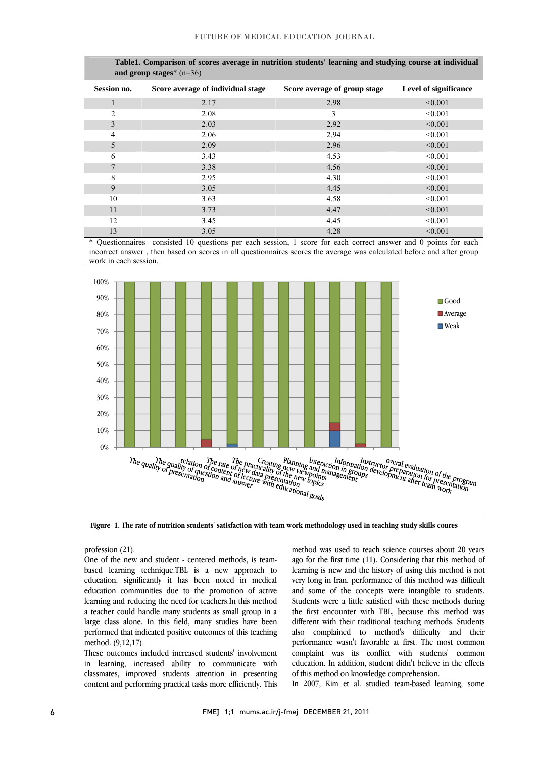| Table1. Comparison of scores average in nutrition students' learning and studying course at individual<br>and group stages* $(n=36)$ |                                   |                              |                              |
|--------------------------------------------------------------------------------------------------------------------------------------|-----------------------------------|------------------------------|------------------------------|
| Session no.                                                                                                                          | Score average of individual stage | Score average of group stage | <b>Level of significance</b> |
| $\mathbf{1}$                                                                                                                         | 2.17                              | 2.98                         | < 0.001                      |
| $\overline{c}$                                                                                                                       | 2.08                              | 3                            | < 0.001                      |
| 3                                                                                                                                    | 2.03                              | 2.92                         | < 0.001                      |
| 4                                                                                                                                    | 2.06                              | 2.94                         | < 0.001                      |
| 5                                                                                                                                    | 2.09                              | 2.96                         | < 0.001                      |
| 6                                                                                                                                    | 3.43                              | 4.53                         | < 0.001                      |
| 7                                                                                                                                    | 3.38                              | 4.56                         | < 0.001                      |
| 8                                                                                                                                    | 2.95                              | 4.30                         | < 0.001                      |
| 9                                                                                                                                    | 3.05                              | 4.45                         | < 0.001                      |
| 10                                                                                                                                   | 3.63                              | 4.58                         | < 0.001                      |
| 11                                                                                                                                   | 3.73                              | 4.47                         | < 0.001                      |
| 12                                                                                                                                   | 3.45                              | 4.45                         | < 0.001                      |
| 13                                                                                                                                   | 3.05                              | 4.28                         | < 0.001                      |

 \* Questionnaires consisted 10 questions per each session, 1 score for each correct answer and 0 points for each incorrect answer , then based on scores in all questionnaires scores the average was calculated before and after group work in each session.



**Figure 1. The rate of nutrition students' satisfaction with team work methodology used in teaching study skills coures**

profession (21).

profession  $(21)$ .<br>One of the new and student - centered methods, is team- based learning technique.TBL is a new approach to education, significantly it has been noted in medical education communities due to the promotion of active a teacher could handle many students as small group in a large class alone. In this field, many studies have been performed that indicated positive outcomes of this teaching metnoa. (9,12,1/).<br>These outcomes included increased students' involvement learning and reducing the need for teachers.In this method method. (9,12,17).

in learning, increased ability to communicate with classmates, improved students attention in presenting content and performing practical tasks more efficiently. This

method was used to teach science courses about 20 years learning is new and the history of using this method is not very long in Iran, performance of this method was difficult and some of the concepts were intangible to students. students were a nute satisfied with these inethods during<br>the first encounter with TBL, because this method was different with their traditional teaching methods. Students also complained to method's difficulty and their performance wasn't favorable at first. The most common education. In addition, student didn't believe in the effects ago for the first time (11). Considering that this method of Students were a little satisfied with these methods during complaint was its conflict with students' common of this method on knowledge comprehension.

In 2007, Kim et al. studied team-based learning, some